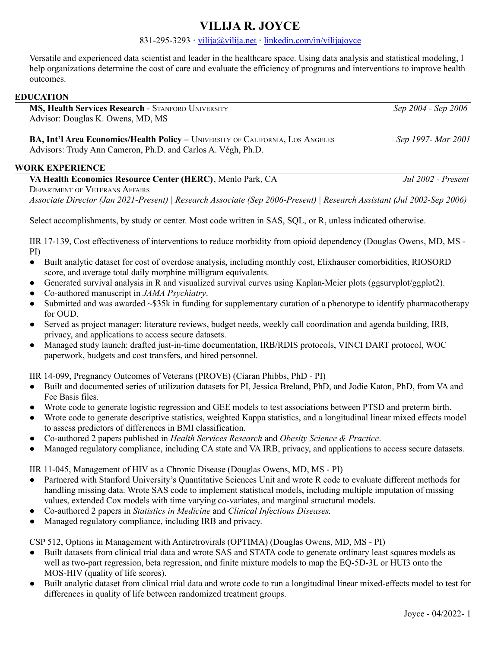# **VILIJA R. JOYCE**

### 831-295-3293 **·** [vilija@vilija.net](mailto:vilija@vilija.net) **·** [linkedin.com/in/vilijajoyce](https://www.linkedin.com/in/vilijajoyce/)

Versatile and experienced data scientist and leader in the healthcare space. Using data analysis and statistical modeling, I help organizations determine the cost of care and evaluate the efficiency of programs and interventions to improve health outcomes.

#### **EDUCATION**

**MS, Health Services Research** - STANFORD UNIVERSITY *Sep 2004 - Sep 2006* Advisor: Douglas K. Owens, MD, MS

**BA, Int'l Area Economics/Health Policy –** UNIVERSITY OF CALIFORNIA, LOS ANGELES *Sep 1997- Mar 2001* Advisors: Trudy Ann Cameron, Ph.D. and Carlos A. Végh, Ph.D.

#### **WORK EXPERIENCE**

**VA Health Economics Resource Center (HERC)**, Menlo Park, CA *Jul 2002 - Present* DEPARTMENT OF VETERANS AFFAIRS *Associate Director (Jan 2021-Present) | Research Associate (Sep 2006-Present) | Research Assistant (Jul 2002-Sep 2006)*

Select accomplishments, by study or center. Most code written in SAS, SQL, or R, unless indicated otherwise.

IIR 17-139, Cost effectiveness of interventions to reduce morbidity from opioid dependency (Douglas Owens, MD, MS - PI)

- Built analytic dataset for cost of overdose analysis, including monthly cost, Elixhauser comorbidities, RIOSORD score, and average total daily morphine milligram equivalents.
- Generated survival analysis in R and visualized survival curves using Kaplan-Meier plots (ggsurvplot/ggplot2).
- Co-authored manuscript in *JAMA Psychiatry*.
- Submitted and was awarded ~\$35k in funding for supplementary curation of a phenotype to identify pharmacotherapy for OUD.
- Served as project manager: literature reviews, budget needs, weekly call coordination and agenda building, IRB, privacy, and applications to access secure datasets.
- Managed study launch: drafted just-in-time documentation, IRB/RDIS protocols, VINCI DART protocol, WOC paperwork, budgets and cost transfers, and hired personnel.

IIR 14-099, Pregnancy Outcomes of Veterans (PROVE) (Ciaran Phibbs, PhD - PI)

- Built and documented series of utilization datasets for PI, Jessica Breland, PhD, and Jodie Katon, PhD, from VA and Fee Basis files.
- Wrote code to generate logistic regression and GEE models to test associations between PTSD and preterm birth.
- Wrote code to generate descriptive statistics, weighted Kappa statistics, and a longitudinal linear mixed effects model to assess predictors of differences in BMI classification.
- Co-authored 2 papers published in *Health Services Research* and *Obesity Science & Practice*.
- Managed regulatory compliance, including CA state and VA IRB, privacy, and applications to access secure datasets.

IIR 11-045, Management of HIV as a Chronic Disease (Douglas Owens, MD, MS - PI)

- Partnered with Stanford University's Quantitative Sciences Unit and wrote R code to evaluate different methods for handling missing data. Wrote SAS code to implement statistical models, including multiple imputation of missing values, extended Cox models with time varying co-variates, and marginal structural models.
- Co-authored 2 papers in *Statistics in Medicine* and *Clinical Infectious Diseases.*
- Managed regulatory compliance, including IRB and privacy.

CSP 512, Options in Management with Antiretrovirals (OPTIMA) (Douglas Owens, MD, MS - PI)

- Built datasets from clinical trial data and wrote SAS and STATA code to generate ordinary least squares models as well as two-part regression, beta regression, and finite mixture models to map the EQ-5D-3L or HUI3 onto the MOS-HIV (quality of life scores).
- Built analytic dataset from clinical trial data and wrote code to run a longitudinal linear mixed-effects model to test for differences in quality of life between randomized treatment groups.